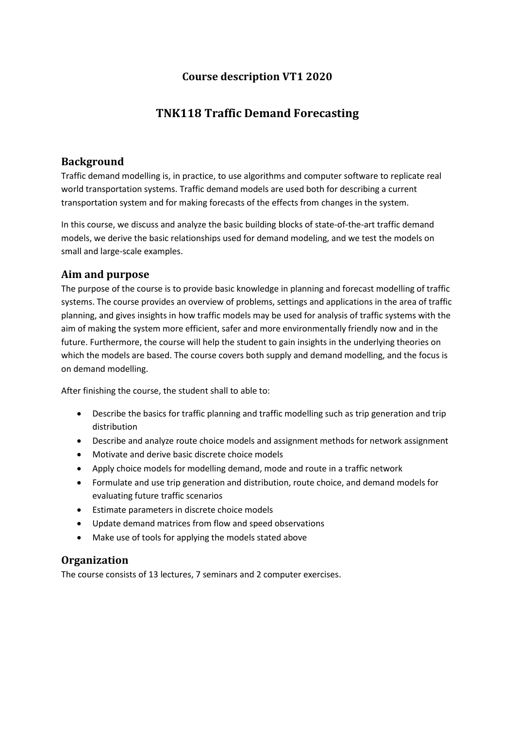## **Course description VT1 2020**

# **TNK118 Traffic Demand Forecasting**

#### **Background**

Traffic demand modelling is, in practice, to use algorithms and computer software to replicate real world transportation systems. Traffic demand models are used both for describing a current transportation system and for making forecasts of the effects from changes in the system.

In this course, we discuss and analyze the basic building blocks of state-of-the-art traffic demand models, we derive the basic relationships used for demand modeling, and we test the models on small and large-scale examples.

## **Aim and purpose**

The purpose of the course is to provide basic knowledge in planning and forecast modelling of traffic systems. The course provides an overview of problems, settings and applications in the area of traffic planning, and gives insights in how traffic models may be used for analysis of traffic systems with the aim of making the system more efficient, safer and more environmentally friendly now and in the future. Furthermore, the course will help the student to gain insights in the underlying theories on which the models are based. The course covers both supply and demand modelling, and the focus is on demand modelling.

After finishing the course, the student shall to able to:

- Describe the basics for traffic planning and traffic modelling such as trip generation and trip distribution
- Describe and analyze route choice models and assignment methods for network assignment
- Motivate and derive basic discrete choice models
- Apply choice models for modelling demand, mode and route in a traffic network
- Formulate and use trip generation and distribution, route choice, and demand models for evaluating future traffic scenarios
- Estimate parameters in discrete choice models
- Update demand matrices from flow and speed observations
- Make use of tools for applying the models stated above

## **Organization**

The course consists of 13 lectures, 7 seminars and 2 computer exercises.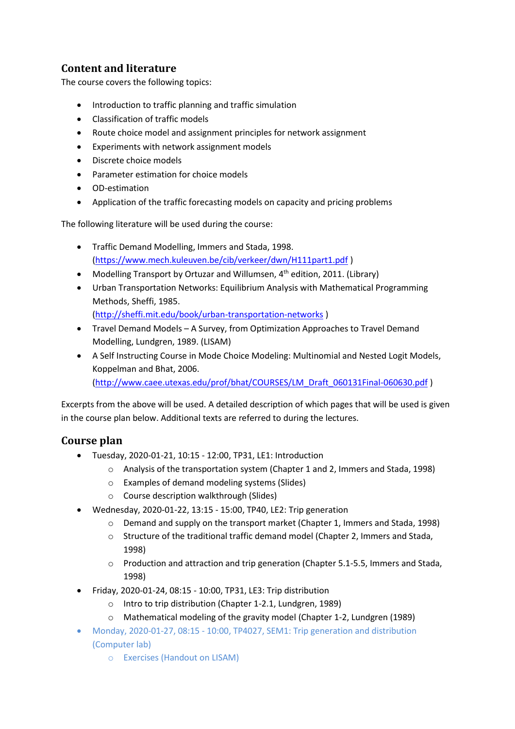# **Content and literature**

The course covers the following topics:

- Introduction to traffic planning and traffic simulation
- Classification of traffic models
- Route choice model and assignment principles for network assignment
- Experiments with network assignment models
- Discrete choice models
- Parameter estimation for choice models
- OD-estimation
- Application of the traffic forecasting models on capacity and pricing problems

The following literature will be used during the course:

- Traffic Demand Modelling, Immers and Stada, 1998. [\(https://www.mech.kuleuven.be/cib/verkeer/dwn/H111part1.pdf](https://www.mech.kuleuven.be/cib/verkeer/dwn/H111part1.pdf) )
- Modelling Transport by Ortuzar and Willumsen,  $4<sup>th</sup>$  edition, 2011. (Library)
- Urban Transportation Networks: Equilibrium Analysis with Mathematical Programming Methods, Sheffi, 1985.

[\(http://sheffi.mit.edu/book/urban-transportation-networks](http://sheffi.mit.edu/book/urban-transportation-networks) )

- Travel Demand Models A Survey, from Optimization Approaches to Travel Demand Modelling, Lundgren, 1989. (LISAM)
- A Self Instructing Course in Mode Choice Modeling: Multinomial and Nested Logit Models, Koppelman and Bhat, 2006. [\(http://www.caee.utexas.edu/prof/bhat/COURSES/LM\\_Draft\\_060131Final-060630.pdf](http://www.caee.utexas.edu/prof/bhat/COURSES/LM_Draft_060131Final-060630.pdf) )

Excerpts from the above will be used. A detailed description of which pages that will be used is given in the course plan below. Additional texts are referred to during the lectures.

## **Course plan**

- Tuesday, 2020-01-21, 10:15 12:00, TP31, LE1: Introduction
	- o Analysis of the transportation system (Chapter 1 and 2, Immers and Stada, 1998)
	- o Examples of demand modeling systems (Slides)
	- o Course description walkthrough (Slides)
- Wednesday, 2020-01-22, 13:15 15:00, TP40, LE2: Trip generation
	- o Demand and supply on the transport market (Chapter 1, Immers and Stada, 1998)
	- $\circ$  Structure of the traditional traffic demand model (Chapter 2, Immers and Stada, 1998)
	- $\circ$  Production and attraction and trip generation (Chapter 5.1-5.5, Immers and Stada, 1998)
- Friday, 2020-01-24, 08:15 10:00, TP31, LE3: Trip distribution
	- o Intro to trip distribution (Chapter 1-2.1, Lundgren, 1989)
	- $\circ$  Mathematical modeling of the gravity model (Chapter 1-2, Lundgren (1989)
- Monday, 2020-01-27, 08:15 10:00, TP4027, SEM1: Trip generation and distribution (Computer lab)
	- o Exercises (Handout on LISAM)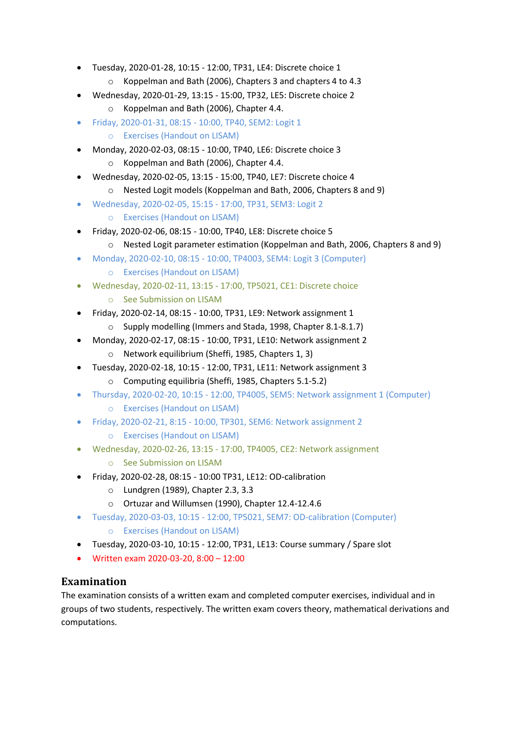- Tuesday, 2020-01-28, 10:15 12:00, TP31, LE4: Discrete choice 1
	- o Koppelman and Bath (2006), Chapters 3 and chapters 4 to 4.3
- Wednesday, 2020-01-29, 13:15 15:00, TP32, LE5: Discrete choice 2
	- o Koppelman and Bath (2006), Chapter 4.4.
- Friday, 2020-01-31, 08:15 10:00, TP40, SEM2: Logit 1
	- o Exercises (Handout on LISAM)
- Monday, 2020-02-03, 08:15 10:00, TP40, LE6: Discrete choice 3 o Koppelman and Bath (2006), Chapter 4.4.
- Wednesday, 2020-02-05, 13:15 15:00, TP40, LE7: Discrete choice 4
	- o Nested Logit models (Koppelman and Bath, 2006, Chapters 8 and 9)
- Wednesday, 2020-02-05, 15:15 17:00, TP31, SEM3: Logit 2
	- o Exercises (Handout on LISAM)
- Friday, 2020-02-06, 08:15 10:00, TP40, LE8: Discrete choice 5
	- $\circ$  Nested Logit parameter estimation (Koppelman and Bath, 2006, Chapters 8 and 9)
- Monday, 2020-02-10, 08:15 10:00, TP4003, SEM4: Logit 3 (Computer) o Exercises (Handout on LISAM)
- Wednesday, 2020-02-11, 13:15 17:00, TP5021, CE1: Discrete choice
	- o See Submission on LISAM
- Friday, 2020-02-14, 08:15 10:00, TP31, LE9: Network assignment 1
	- o Supply modelling (Immers and Stada, 1998, Chapter 8.1-8.1.7)
- Monday, 2020-02-17, 08:15 10:00, TP31, LE10: Network assignment 2
	- o Network equilibrium (Sheffi, 1985, Chapters 1, 3)
- Tuesday, 2020-02-18, 10:15 12:00, TP31, LE11: Network assignment 3
	- o Computing equilibria (Sheffi, 1985, Chapters 5.1-5.2)
- Thursday, 2020-02-20, 10:15 12:00, TP4005, SEM5: Network assignment 1 (Computer)
	- o Exercises (Handout on LISAM)
	- Friday, 2020-02-21, 8:15 10:00, TP301, SEM6: Network assignment 2
		- o Exercises (Handout on LISAM)
- Wednesday, 2020-02-26, 13:15 17:00, TP4005, CE2: Network assignment
	- o See Submission on LISAM
- Friday, 2020-02-28, 08:15 10:00 TP31, LE12: OD-calibration
	- o Lundgren (1989), Chapter 2.3, 3.3
	- o Ortuzar and Willumsen (1990), Chapter 12.4-12.4.6
- Tuesday, 2020-03-03, 10:15 12:00, TP5021, SEM7: OD-calibration (Computer) o Exercises (Handout on LISAM)
- Tuesday, 2020-03-10, 10:15 12:00, TP31, LE13: Course summary / Spare slot
- Written exam 2020-03-20, 8:00 12:00

#### **Examination**

The examination consists of a written exam and completed computer exercises, individual and in groups of two students, respectively. The written exam covers theory, mathematical derivations and computations.